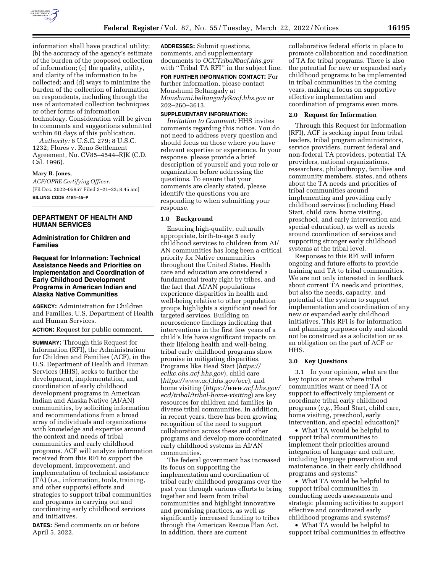

information shall have practical utility; (b) the accuracy of the agency's estimate of the burden of the proposed collection of information; (c) the quality, utility, and clarity of the information to be collected; and (d) ways to minimize the burden of the collection of information on respondents, including through the use of automated collection techniques or other forms of information technology. Consideration will be given to comments and suggestions submitted within 60 days of this publication.

*Authority:* 6 U.S.C. 279; 8 U.S.C. 1232; Flores v. Reno Settlement Agreement, No. CV85–4544–RJK (C.D. Cal. 1996).

### **Mary B. Jones,**

*ACF/OPRE Certifying Officer.*  [FR Doc. 2022–05957 Filed 3–21–22; 8:45 am] **BILLING CODE 4184–45–P** 

## **DEPARTMENT OF HEALTH AND HUMAN SERVICES**

# **Administration for Children and Families**

## **Request for Information: Technical Assistance Needs and Priorities on Implementation and Coordination of Early Childhood Development Programs in American Indian and Alaska Native Communities**

**AGENCY:** Administration for Children and Families, U.S. Department of Health and Human Services.

**ACTION:** Request for public comment.

**SUMMARY:** Through this Request for Information (RFI), the Administration for Children and Families (ACF), in the U.S. Department of Health and Human Services (HHS), seeks to further the development, implementation, and coordination of early childhood development programs in American Indian and Alaska Native (AI/AN) communities, by soliciting information and recommendations from a broad array of individuals and organizations with knowledge and expertise around the context and needs of tribal communities and early childhood programs. ACF will analyze information received from this RFI to support the development, improvement, and implementation of technical assistance (TA) (*i.e.,* information, tools, training, and other supports) efforts and strategies to support tribal communities and programs in carrying out and coordinating early childhood services and initiatives.

**DATES:** Send comments on or before April 5, 2022.

**ADDRESSES:** Submit questions, comments, and supplementary documents to *[OCCTribal@acf.hhs.gov](mailto:OCCTribal@acf.hhs.gov)*  with ''Tribal TA RFI'' in the subject line.

**FOR FURTHER INFORMATION CONTACT:** For further information, please contact Moushumi Beltangady at *[Moushumi.beltangady@acf.hhs.gov](mailto:Moushumi.beltangady@acf.hhs.gov)* or 202–260–3613.

## **SUPPLEMENTARY INFORMATION:**

*Invitation to Comment:* HHS invites comments regarding this notice. You do not need to address every question and should focus on those where you have relevant expertise or experience. In your response, please provide a brief description of yourself and your role or organization before addressing the questions. To ensure that your comments are clearly stated, please identify the questions you are responding to when submitting your response.

#### **1.0 Background**

Ensuring high-quality, culturally appropriate, birth-to-age 5 early childhood services to children from AI/ AN communities has long been a critical priority for Native communities throughout the United States. Health care and education are considered a fundamental treaty right by tribes, and the fact that AI/AN populations experience disparities in health and well-being relative to other population groups highlights a significant need for targeted services. Building on neuroscience findings indicating that interventions in the first few years of a child's life have significant impacts on their lifelong health and well-being, tribal early childhood programs show promise in mitigating disparities. Programs like Head Start (*[https://](https://eclkc.ohs.acf.hhs.gov) [eclkc.ohs.acf.hhs.gov](https://eclkc.ohs.acf.hhs.gov)*), child care (*<https://www.acf.hhs.gov/occ>*), and home visiting (*[https://www.acf.hhs.gov/](https://www.acf.hhs.gov/ecd/tribal/tribal-home-visiting)  [ecd/tribal/tribal-home-visiting](https://www.acf.hhs.gov/ecd/tribal/tribal-home-visiting)*) are key resources for children and families in diverse tribal communities. In addition, in recent years, there has been growing recognition of the need to support collaboration across these and other programs and develop more coordinated early childhood systems in AI/AN communities.

The federal government has increased its focus on supporting the implementation and coordination of tribal early childhood programs over the past year through various efforts to bring together and learn from tribal communities and highlight innovative and promising practices, as well as significantly increased funding to tribes through the American Rescue Plan Act. In addition, there are current

collaborative federal efforts in place to promote collaboration and coordination of TA for tribal programs. There is also the potential for new or expanded early childhood programs to be implemented in tribal communities in the coming years, making a focus on supportive effective implementation and coordination of programs even more.

### **2.0 Request for Information**

Through this Request for Information (RFI), ACF is seeking input from tribal leaders, tribal program administrators, service providers, current federal and non-federal TA providers, potential TA providers, national organizations, researchers, philanthropy, families and community members, states, and others about the TA needs and priorities of tribal communities around implementing and providing early childhood services (including Head Start, child care, home visiting, preschool, and early intervention and special education), as well as needs around coordination of services and supporting stronger early childhood systems at the tribal level.

Responses to this RFI will inform ongoing and future efforts to provide training and TA to tribal communities. We are not only interested in feedback about current TA needs and priorities, but also the needs, capacity, and potential of the system to support implementation and coordination of any new or expanded early childhood initiatives. This RFI is for information and planning purposes only and should not be construed as a solicitation or as an obligation on the part of ACF or HHS.

### **3.0 Key Questions**

3.1 In your opinion, what are the key topics or areas where tribal communities want or need TA or support to effectively implement or coordinate tribal early childhood programs (*e.g.,* Head Start, child care, home visiting, preschool, early intervention, and special education)?

• What TA would be helpful to support tribal communities to implement their priorities around integration of language and culture, including language preservation and maintenance, in their early childhood programs and systems?

• What TA would be helpful to support tribal communities in conducting needs assessments and strategic planning activities to support effective and coordinated early childhood programs and systems?

• What TA would be helpful to support tribal communities in effective